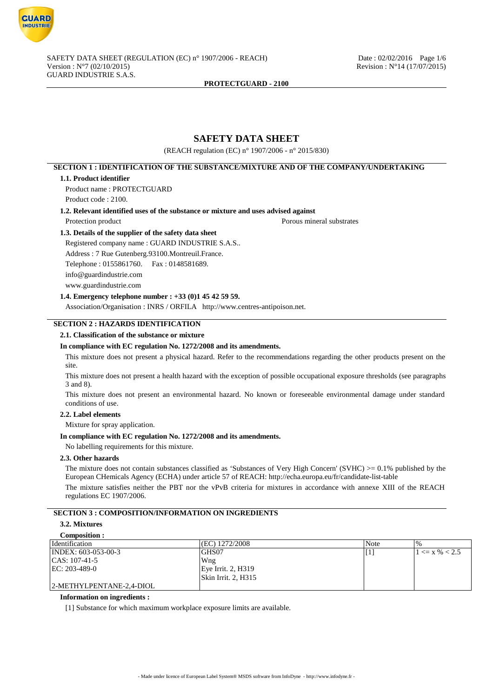

# **SAFETY DATA SHEET**

(REACH regulation (EC) n° 1907/2006 - n° 2015/830)

# **SECTION 1 : IDENTIFICATION OF THE SUBSTANCE/MIXTURE AND OF THE COMPANY/UNDERTAKING**

#### **1.1. Product identifier**

Product name : PROTECTGUARD Product code : 2100.

#### **1.2. Relevant identified uses of the substance or mixture and uses advised against**

Protection product Porous mineral substrates

#### **1.3. Details of the supplier of the safety data sheet**

Registered company name : GUARD INDUSTRIE S.A.S.. Address : 7 Rue Gutenberg.93100.Montreuil.France. Telephone : 0155861760. Fax : 0148581689. info@guardindustrie.com www.guardindustrie.com

## **1.4. Emergency telephone number : +33 (0)1 45 42 59 59.**

Association/Organisation : INRS / ORFILA http://www.centres-antipoison.net.

# **SECTION 2 : HAZARDS IDENTIFICATION**

### **2.1. Classification of the substance or mixture**

### **In compliance with EC regulation No. 1272/2008 and its amendments.**

This mixture does not present a physical hazard. Refer to the recommendations regarding the other products present on the site.

This mixture does not present a health hazard with the exception of possible occupational exposure thresholds (see paragraphs 3 and 8).

This mixture does not present an environmental hazard. No known or foreseeable environmental damage under standard conditions of use.

#### **2.2. Label elements**

Mixture for spray application.

#### **In compliance with EC regulation No. 1272/2008 and its amendments.**

## No labelling requirements for this mixture.

#### **2.3. Other hazards**

The mixture does not contain substances classified as 'Substances of Very High Concern' (SVHC)  $>= 0.1\%$  published by the European CHemicals Agency (ECHA) under article 57 of REACH: http://echa.europa.eu/fr/candidate-list-table

The mixture satisfies neither the PBT nor the vPvB criteria for mixtures in accordance with annexe XIII of the REACH regulations EC 1907/2006.

# **SECTION 3 : COMPOSITION/INFORMATION ON INGREDIENTS**

#### **3.2. Mixtures**

#### **Composition :**

| Identification           | (EC) 1272/2008       | Note | $\%$                  |
|--------------------------|----------------------|------|-----------------------|
| INDEX: 603-053-00-3      | GHS07                |      | $1 \le x \, \% < 2.5$ |
| $ CAS: 107-41-5$         | Wng                  |      |                       |
| EC: 203-489-0            | $Eve$ Irrit. 2, H319 |      |                       |
|                          | Skin Irrit. 2. H315  |      |                       |
| 2-METHYLPENTANE-2.4-DIOL |                      |      |                       |

### **Information on ingredients :**

[1] Substance for which maximum workplace exposure limits are available.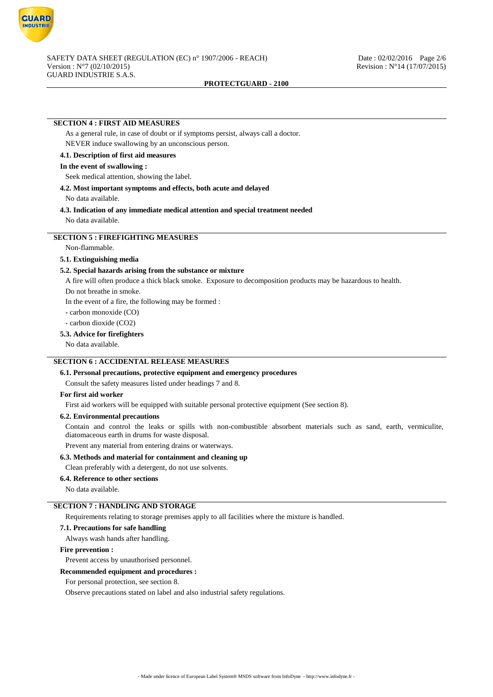

## **SECTION 4 : FIRST AID MEASURES**

As a general rule, in case of doubt or if symptoms persist, always call a doctor. NEVER induce swallowing by an unconscious person.

# **4.1. Description of first aid measures**

# **In the event of swallowing :**

Seek medical attention, showing the label.

## **4.2. Most important symptoms and effects, both acute and delayed**

No data available.

#### **4.3. Indication of any immediate medical attention and special treatment needed**

No data available.

# **SECTION 5 : FIREFIGHTING MEASURES**

Non-flammable.

## **5.1. Extinguishing media**

### **5.2. Special hazards arising from the substance or mixture**

A fire will often produce a thick black smoke. Exposure to decomposition products may be hazardous to health.

Do not breathe in smoke.

In the event of a fire, the following may be formed :

- carbon monoxide (CO)

- carbon dioxide (CO2)

#### **5.3. Advice for firefighters**

No data available.

# **SECTION 6 : ACCIDENTAL RELEASE MEASURES**

## **6.1. Personal precautions, protective equipment and emergency procedures**

Consult the safety measures listed under headings 7 and 8.

## **For first aid worker**

First aid workers will be equipped with suitable personal protective equipment (See section 8).

## **6.2. Environmental precautions**

Contain and control the leaks or spills with non-combustible absorbent materials such as sand, earth, vermiculite, diatomaceous earth in drums for waste disposal.

Prevent any material from entering drains or waterways.

#### **6.3. Methods and material for containment and cleaning up**

Clean preferably with a detergent, do not use solvents.

#### **6.4. Reference to other sections**

No data available.

# **SECTION 7 : HANDLING AND STORAGE**

Requirements relating to storage premises apply to all facilities where the mixture is handled.

## **7.1. Precautions for safe handling**

Always wash hands after handling.

### **Fire prevention :**

Prevent access by unauthorised personnel.

#### **Recommended equipment and procedures :**

For personal protection, see section 8.

Observe precautions stated on label and also industrial safety regulations.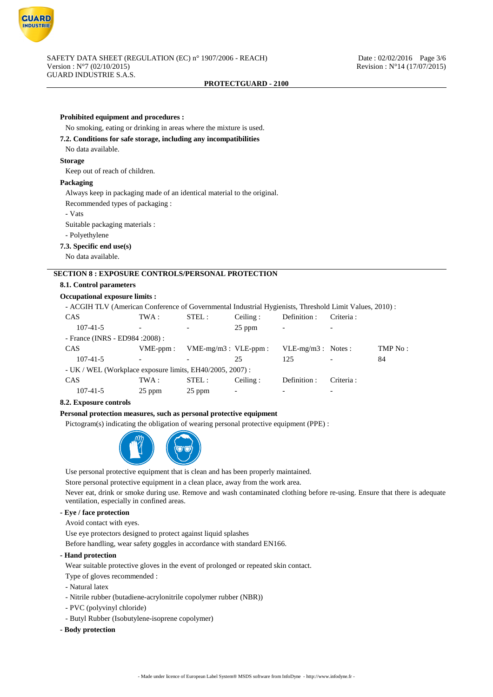

#### **Prohibited equipment and procedures :**

No smoking, eating or drinking in areas where the mixture is used.

#### **7.2. Conditions for safe storage, including any incompatibilities**

No data available.

### **Storage**

Keep out of reach of children.

#### **Packaging**

Always keep in packaging made of an identical material to the original.

Recommended types of packaging :

- Vats

Suitable packaging materials :

- Polyethylene

#### **7.3. Specific end use(s)**

No data available.

## **SECTION 8 : EXPOSURE CONTROLS/PERSONAL PROTECTION**

## **8.1. Control parameters**

# **Occupational exposure limits :**

| - ACGIH TLV (American Conference of Governmental Industrial Hygienists, Threshold Limit Values, 2010) : |                          |                           |          |                          |            |         |
|---------------------------------------------------------------------------------------------------------|--------------------------|---------------------------|----------|--------------------------|------------|---------|
| <b>CAS</b>                                                                                              | TWA :                    | STEL:                     | Ceiling: | Definition :             | Criteria : |         |
| $107 - 41 - 5$                                                                                          | $\overline{\phantom{a}}$ | $\overline{\phantom{a}}$  | $25$ ppm | $\overline{\phantom{a}}$ |            |         |
| - France (INRS - ED984 : 2008) :                                                                        |                          |                           |          |                          |            |         |
| <b>CAS</b>                                                                                              | $VME-ppm$ :              | $VME-mg/m3$ : $VLE-ppm$ : |          | $VLE-mg/m3$ : Notes:     |            | TMP No: |
| $107 - 41 - 5$                                                                                          | $\overline{\phantom{0}}$ |                           | 25       | 125                      |            | 84      |

# - UK / WEL (Workplace exposure limits, EH40/2005, 2007) : CAS TWA : STEL : Ceiling : Definition : Criteria : 107-41-5 25 ppm 25 ppm - - -

## **8.2. Exposure controls**

### **Personal protection measures, such as personal protective equipment**

Pictogram(s) indicating the obligation of wearing personal protective equipment (PPE) :



Use personal protective equipment that is clean and has been properly maintained.

Store personal protective equipment in a clean place, away from the work area.

Never eat, drink or smoke during use. Remove and wash contaminated clothing before re-using. Ensure that there is adequate ventilation, especially in confined areas.

# **- Eye / face protection**

Avoid contact with eyes.

Use eye protectors designed to protect against liquid splashes

Before handling, wear safety goggles in accordance with standard EN166.

## **- Hand protection**

Wear suitable protective gloves in the event of prolonged or repeated skin contact.

Type of gloves recommended :

- Natural latex
- Nitrile rubber (butadiene-acrylonitrile copolymer rubber (NBR))
- PVC (polyvinyl chloride)
- Butyl Rubber (Isobutylene-isoprene copolymer)
- **Body protection**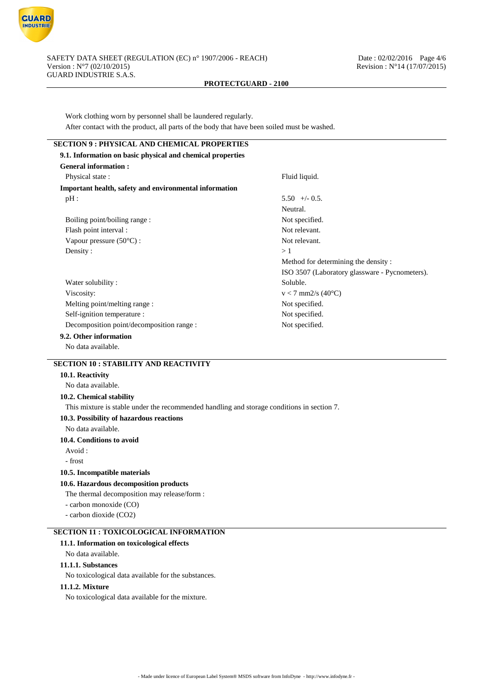

Work clothing worn by personnel shall be laundered regularly. After contact with the product, all parts of the body that have been soiled must be washed.

| <b>SECTION 9 : PHYSICAL AND CHEMICAL PROPERTIES</b> |  |
|-----------------------------------------------------|--|
|-----------------------------------------------------|--|

| <b>General information:</b>                            |                                                |  |
|--------------------------------------------------------|------------------------------------------------|--|
| Physical state:                                        | Fluid liquid.                                  |  |
| Important health, safety and environmental information |                                                |  |
| pH:                                                    | $5.50 +/- 0.5$ .                               |  |
|                                                        | Neutral.                                       |  |
| Boiling point/boiling range:                           | Not specified.                                 |  |
| Flash point interval :                                 | Not relevant.                                  |  |
| Vapour pressure $(50^{\circ}C)$ :                      | Not relevant.                                  |  |
| Density:                                               | >1                                             |  |
|                                                        | Method for determining the density:            |  |
|                                                        | ISO 3507 (Laboratory glassware - Pycnometers). |  |
| Water solubility:                                      | Soluble.                                       |  |
| Viscosity:                                             | $v < 7$ mm2/s (40°C)                           |  |
| Melting point/melting range :                          | Not specified.                                 |  |
| Self-ignition temperature :                            | Not specified.                                 |  |
| Decomposition point/decomposition range :              | Not specified.                                 |  |

No data available.

# **SECTION 10 : STABILITY AND REACTIVITY**

# **10.1. Reactivity**

No data available.

## **10.2. Chemical stability**

This mixture is stable under the recommended handling and storage conditions in section 7.

#### **10.3. Possibility of hazardous reactions**

No data available.

# **10.4. Conditions to avoid**

Avoid :

- frost

### **10.5. Incompatible materials**

## **10.6. Hazardous decomposition products**

The thermal decomposition may release/form :

- carbon monoxide (CO)
- carbon dioxide (CO2)

# **SECTION 11 : TOXICOLOGICAL INFORMATION**

## **11.1. Information on toxicological effects**

No data available.

# **11.1.1. Substances**

No toxicological data available for the substances.

### **11.1.2. Mixture**

No toxicological data available for the mixture.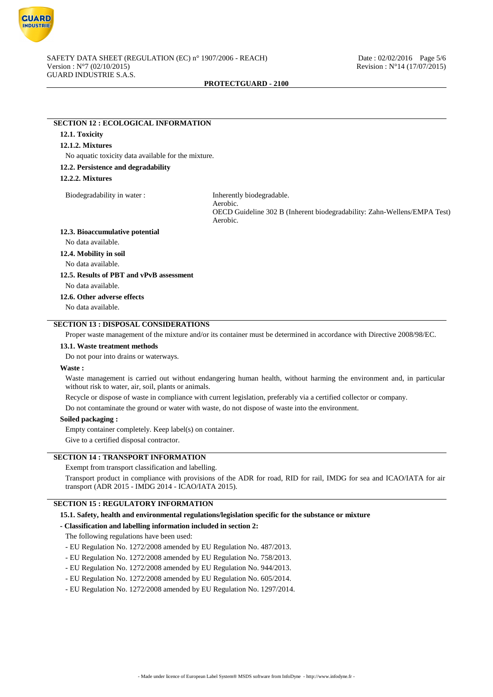

# **SECTION 12 : ECOLOGICAL INFORMATION**

# **12.1. Toxicity**

## **12.1.2. Mixtures**

No aquatic toxicity data available for the mixture.

## **12.2. Persistence and degradability**

### **12.2.2. Mixtures**

Biodegradability in water : Inherently biodegradable.

Aerobic. OECD Guideline 302 B (Inherent biodegradability: Zahn-Wellens/EMPA Test) Aerobic.

#### **12.3. Bioaccumulative potential**

No data available.

#### **12.4. Mobility in soil**

No data available.

# **12.5. Results of PBT and vPvB assessment**

No data available.

#### **12.6. Other adverse effects**

No data available.

# **SECTION 13 : DISPOSAL CONSIDERATIONS**

Proper waste management of the mixture and/or its container must be determined in accordance with Directive 2008/98/EC.

#### **13.1. Waste treatment methods**

Do not pour into drains or waterways.

### **Waste :**

Waste management is carried out without endangering human health, without harming the environment and, in particular without risk to water, air, soil, plants or animals.

Recycle or dispose of waste in compliance with current legislation, preferably via a certified collector or company.

Do not contaminate the ground or water with waste, do not dispose of waste into the environment.

## **Soiled packaging :**

Empty container completely. Keep label(s) on container.

Give to a certified disposal contractor.

#### **SECTION 14 : TRANSPORT INFORMATION**

Exempt from transport classification and labelling.

Transport product in compliance with provisions of the ADR for road, RID for rail, IMDG for sea and ICAO/IATA for air transport (ADR 2015 - IMDG 2014 - ICAO/IATA 2015).

## **SECTION 15 : REGULATORY INFORMATION**

**15.1. Safety, health and environmental regulations/legislation specific for the substance or mixture**

### **- Classification and labelling information included in section 2:**

The following regulations have been used:

- EU Regulation No. 1272/2008 amended by EU Regulation No. 487/2013.
- EU Regulation No. 1272/2008 amended by EU Regulation No. 758/2013.
- EU Regulation No. 1272/2008 amended by EU Regulation No. 944/2013.
- EU Regulation No. 1272/2008 amended by EU Regulation No. 605/2014.
- EU Regulation No. 1272/2008 amended by EU Regulation No. 1297/2014.